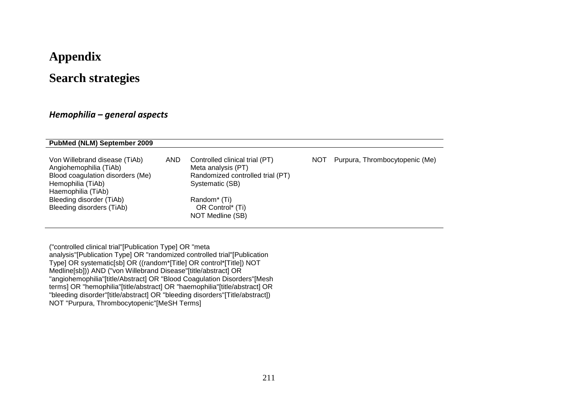# **Appendix**

# **Search strategies**

### *Hemophilia – general aspects*

| <b>PubMed (NLM) September 2009</b>                                                                                                     |            |                                                                                                             |            |                                |
|----------------------------------------------------------------------------------------------------------------------------------------|------------|-------------------------------------------------------------------------------------------------------------|------------|--------------------------------|
| Von Willebrand disease (TiAb)<br>Angiohemophilia (TiAb)<br>Blood coagulation disorders (Me)<br>Hemophilia (TiAb)<br>Haemophilia (TiAb) | <b>AND</b> | Controlled clinical trial (PT)<br>Meta analysis (PT)<br>Randomized controlled trial (PT)<br>Systematic (SB) | <b>NOT</b> | Purpura, Thrombocytopenic (Me) |
| Bleeding disorder (TiAb)<br>Bleeding disorders (TiAb)                                                                                  |            | Random <sup>*</sup> (Ti)<br>OR Control* (Ti)<br>NOT Medline (SB)                                            |            |                                |

("controlled clinical trial"[Publication Type] OR "meta analysis"[Publication Type] OR "randomized controlled trial"[Publication Type] OR systematic[sb] OR ((random\*[Title] OR control\*[Title]) NOT Medline[sb])) AND ("von Willebrand Disease"[title/abstract] OR "angiohemophilia"[title/Abstract] OR "Blood Coagulation Disorders"[Mesh terms] OR "hemophilia"[title/abstract] OR "haemophilia"[title/abstract] OR "bleeding disorder"[title/abstract] OR "bleeding disorders"[Title/abstract]) NOT "Purpura, Thrombocytopenic"[MeSH Terms]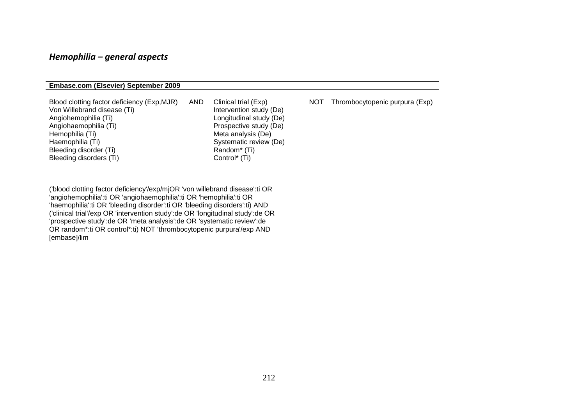### *Hemophilia – general aspects*

#### **Embase.com (Elsevier) September 2009**

| Blood clotting factor deficiency (Exp, MJR)<br><b>AND</b><br>Von Willebrand disease (Ti)<br>Angiohemophilia (Ti)<br>Angiohaemophilia (Ti)<br>Hemophilia (Ti)<br>Haemophilia (Ti)<br>Bleeding disorder (Ti)<br>Bleeding disorders (Ti) | Clinical trial (Exp)<br>NOT.<br>Intervention study (De)<br>Longitudinal study (De)<br>Prospective study (De)<br>Meta analysis (De)<br>Systematic review (De)<br>Random <sup>*</sup> (Ti)<br>Control <sup>*</sup> (Ti) | Thrombocytopenic purpura (Exp) |
|---------------------------------------------------------------------------------------------------------------------------------------------------------------------------------------------------------------------------------------|-----------------------------------------------------------------------------------------------------------------------------------------------------------------------------------------------------------------------|--------------------------------|
|---------------------------------------------------------------------------------------------------------------------------------------------------------------------------------------------------------------------------------------|-----------------------------------------------------------------------------------------------------------------------------------------------------------------------------------------------------------------------|--------------------------------|

('blood clotting factor deficiency'/exp/mjOR 'von willebrand disease':ti OR 'angiohemophilia':ti OR 'angiohaemophilia':ti OR 'hemophilia':ti OR 'haemophilia':ti OR 'bleeding disorder':ti OR 'bleeding disorders':ti) AND ('clinical trial'/exp OR 'intervention study':de OR 'longitudinal study':de OR 'prospective study':de OR 'meta analysis':de OR 'systematic review':de OR random\*:ti OR control\*:ti) NOT 'thrombocytopenic purpura'/exp AND [embase]/lim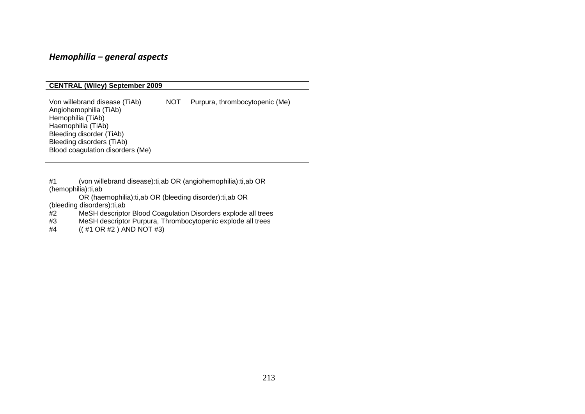### *Hemophilia – general aspects*

#### **CENTRAL (Wiley) September 2009**

Von willebrand disease (TiAb) NOT Purpura, thrombocytopenic (Me) Angiohemophilia (TiAb) Hemophilia<sup>(TiAb)</sup> Haemophilia (TiAb) Bleeding disorder (TiAb) Bleeding disorders (TiAb) Blood coagulation disorders (Me)

#1 [\(von willebrand disease\):ti,ab OR \(angiohemophilia\):ti,ab OR](http://www3.interscience.wiley.com/cochrane/searchHistory?mode=runquery&qnum=1)  [\(hemophilia\):ti,ab](http://www3.interscience.wiley.com/cochrane/searchHistory?mode=runquery&qnum=1) 

[OR \(haemophilia\):ti,ab OR \(bleeding disorder\):ti,ab OR](http://www3.interscience.wiley.com/cochrane/searchHistory?mode=runquery&qnum=1) 

[\(bleeding disorders\):ti,ab](http://www3.interscience.wiley.com/cochrane/searchHistory?mode=runquery&qnum=1) 

#2 [MeSH descriptor Blood Coagulation Disorders explode all trees](http://www3.interscience.wiley.com/cochrane/searchHistory?mode=runquery&qnum=2)<br>#3 MeSH descriptor Purpura, Thrombocytopenic explode all trees

[MeSH descriptor Purpura, Thrombocytopenic explode all trees](http://www3.interscience.wiley.com/cochrane/searchHistory?mode=runquery&qnum=3)

#4 [\(\( #1 OR #2 \) AND NOT #3\)](http://www3.interscience.wiley.com/cochrane/searchHistory?mode=runquery&qnum=4)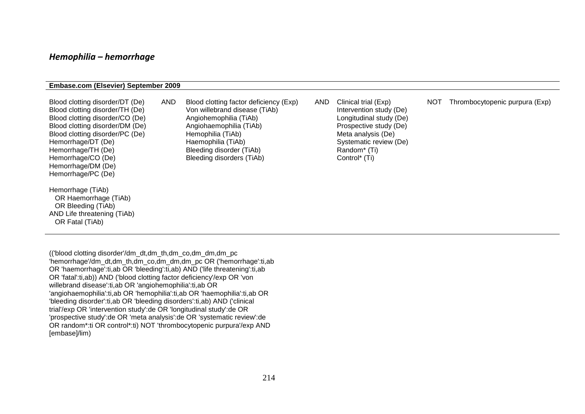#### *Hemophilia – hemorrhage*

#### **Embase.com (Elsevier) September 2009**

| Blood clotting disorder/DT (De)<br>Blood clotting disorder/TH (De)<br>Blood clotting disorder/CO (De)<br>Blood clotting disorder/DM (De)<br>Blood clotting disorder/PC (De)<br>Hemorrhage/DT (De)<br>Hemorrhage/TH (De)<br>Hemorrhage/CO (De)<br>Hemorrhage/DM (De)<br>Hemorrhage/PC (De) | <b>AND</b> | Blood clotting factor deficiency (Exp)<br>Von willebrand disease (TiAb)<br>Angiohemophilia (TiAb)<br>Angiohaemophilia (TiAb)<br>Hemophilia (TiAb)<br>Haemophilia (TiAb)<br>Bleeding disorder (TiAb)<br>Bleeding disorders (TiAb) | <b>AND</b> | Clinical trial (Exp)<br>Intervention study (De)<br>Longitudinal study (De)<br>Prospective study (De)<br>Meta analysis (De)<br>Systematic review (De)<br>Random <sup>*</sup> (Ti)<br>Control* (Ti) | NOT | Thrombocytopenic purpura (Exp) |
|-------------------------------------------------------------------------------------------------------------------------------------------------------------------------------------------------------------------------------------------------------------------------------------------|------------|----------------------------------------------------------------------------------------------------------------------------------------------------------------------------------------------------------------------------------|------------|---------------------------------------------------------------------------------------------------------------------------------------------------------------------------------------------------|-----|--------------------------------|
| Hemorrhage (TiAb)<br>OR Haemorrhage (TiAb)<br>OR Bleeding (TiAb)<br>AND Life threatening (TiAb)<br>OR Fatal (TiAb)                                                                                                                                                                        |            |                                                                                                                                                                                                                                  |            |                                                                                                                                                                                                   |     |                                |

(('blood clotting disorder'/dm\_dt,dm\_th,dm\_co,dm\_dm,dm\_pc 'hemorrhage'/dm\_dt,dm\_th,dm\_co,dm\_dm,dm\_pc OR ('hemorrhage':ti,ab OR 'haemorrhage':ti,ab OR 'bleeding':ti,ab) AND ('life threatening':ti,ab OR 'fatal':ti,ab)) AND ('blood clotting factor deficiency'/exp OR 'von willebrand disease':ti,ab OR 'angiohemophilia':ti,ab OR 'angiohaemophilia':ti,ab OR 'hemophilia':ti,ab OR 'haemophilia':ti,ab OR 'bleeding disorder':ti,ab OR 'bleeding disorders':ti,ab) AND ('clinical trial'/exp OR 'intervention study':de OR 'longitudinal study':de OR 'prospective study':de OR 'meta analysis':de OR 'systematic review':de OR random\*:ti OR control\*:ti) NOT 'thrombocytopenic purpura'/exp AND [embase]/lim)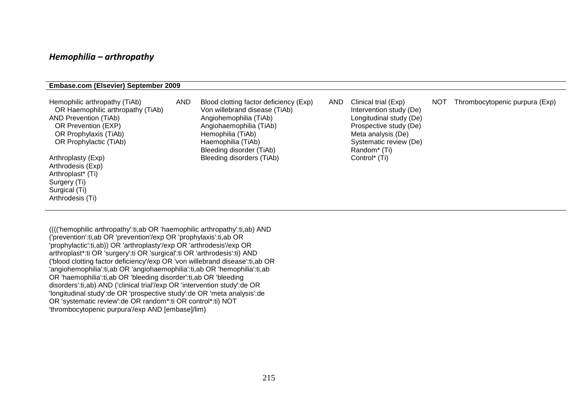#### *Hemophilia – arthropathy*

#### **Embase.com (Elsevier) September 2009**

| Hemophilic arthropathy (TiAb)<br>OR Haemophilic arthropathy (TiAb)<br><b>AND Prevention (TiAb)</b><br>OR Prevention (EXP)<br>OR Prophylaxis (TiAb)<br>OR Prophylactic (TiAb) | <b>AND</b> | Blood clotting factor deficiency (Exp)<br>Von willebrand disease (TiAb)<br>Angiohemophilia (TiAb)<br>Angiohaemophilia (TiAb)<br>Hemophilia (TiAb)<br>Haemophilia (TiAb)<br>Bleeding disorder (TiAb) | <b>AND</b> | Clinical trial (Exp)<br>Intervention study (De)<br>Longitudinal study (De)<br>Prospective study (De)<br>Meta analysis (De)<br>Systematic review (De)<br>Random <sup>*</sup> (Ti) | <b>NOT</b> | Thrombocytopenic purpura (Exp) |
|------------------------------------------------------------------------------------------------------------------------------------------------------------------------------|------------|-----------------------------------------------------------------------------------------------------------------------------------------------------------------------------------------------------|------------|----------------------------------------------------------------------------------------------------------------------------------------------------------------------------------|------------|--------------------------------|
| Arthroplasty (Exp)<br>Arthrodesis (Exp)<br>Arthroplast* (Ti)<br>Surgery (Ti)<br>Surgical (Ti)<br>Arthrodesis (Ti)                                                            |            | Bleeding disorders (TiAb)                                                                                                                                                                           |            | Control <sup>*</sup> (Ti)                                                                                                                                                        |            |                                |

(((('hemophilic arthropathy':ti,ab OR 'haemophilic arthropathy':ti,ab) AND ('prevention':ti,ab OR 'prevention'/exp OR 'prophylaxis':ti,ab OR 'prophylactic':ti,ab)) OR 'arthroplasty'/exp OR 'arthrodesis'/exp OR arthroplast\*:ti OR 'surgery':ti OR 'surgical':ti OR 'arthrodesis':ti) AND ('blood clotting factor deficiency'/exp OR 'von willebrand disease':ti,ab OR 'angiohemophilia':ti,ab OR 'angiohaemophilia':ti,ab OR 'hemophilia':ti,ab OR 'haemophilia':ti,ab OR 'bleeding disorder':ti,ab OR 'bleeding disorders':ti,ab) AND ('clinical trial'/exp OR 'intervention study':de OR 'longitudinal study':de OR 'prospective study':de OR 'meta analysis':de OR 'systematic review':de OR random\*:ti OR control\*:ti) NOT 'thrombocytopenic purpura'/exp AND [embase]/lim)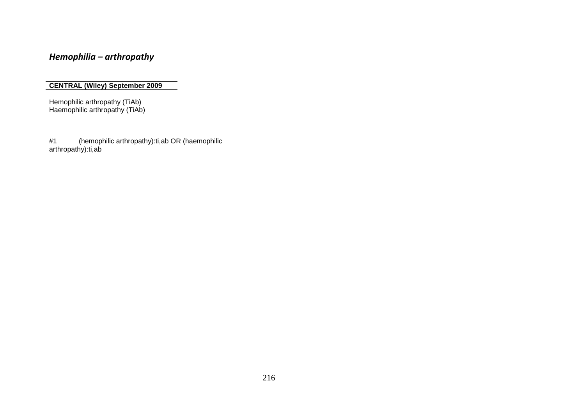## *Hemophilia – arthropathy*

#### **CENTRAL (Wiley) September 2009**

Hemophilic arthropathy (TiAb) Haemophilic arthropathy (TiAb)

#1 [\(hemophilic arthropathy\):ti,ab OR \(haemophilic](http://www3.interscience.wiley.com/cochrane/searchHistory?mode=runquery&qnum=1)  [arthropathy\):ti,ab](http://www3.interscience.wiley.com/cochrane/searchHistory?mode=runquery&qnum=1)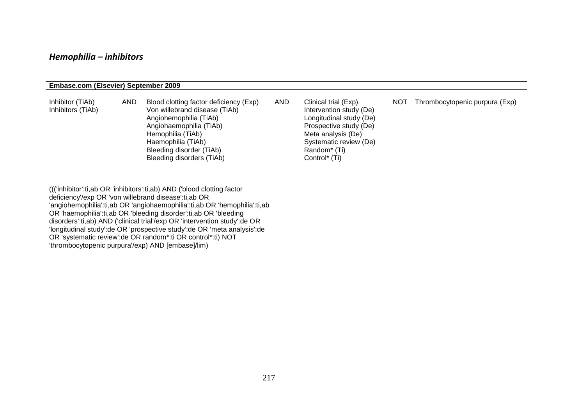### *Hemophilia – inhibitors*

#### **Embase.com (Elsevier) September 2009**

| Inhibitor (TiAb)<br>Inhibitors (TiAb) | AND | Blood clotting factor deficiency (Exp)<br>Von willebrand disease (TiAb)<br>Angiohemophilia (TiAb)<br>Angiohaemophilia (TiAb)<br>Hemophilia (TiAb)<br>Haemophilia (TiAb)<br>Bleeding disorder (TiAb)<br>Bleeding disorders (TiAb) | <b>AND</b> | Clinical trial (Exp)<br>Intervention study (De)<br>Longitudinal study (De)<br>Prospective study (De)<br>Meta analysis (De)<br>Systematic review (De)<br>Random <sup>*</sup> (Ti)<br>Control <sup>*</sup> (Ti) | <b>NOT</b> | Thrombocytopenic purpura (Exp) |
|---------------------------------------|-----|----------------------------------------------------------------------------------------------------------------------------------------------------------------------------------------------------------------------------------|------------|---------------------------------------------------------------------------------------------------------------------------------------------------------------------------------------------------------------|------------|--------------------------------|
|---------------------------------------|-----|----------------------------------------------------------------------------------------------------------------------------------------------------------------------------------------------------------------------------------|------------|---------------------------------------------------------------------------------------------------------------------------------------------------------------------------------------------------------------|------------|--------------------------------|

((('inhibitor':ti,ab OR 'inhibitors':ti,ab) AND ('blood clotting factor deficiency'/exp OR 'von willebrand disease':ti,ab OR 'angiohemophilia':ti,ab OR 'angiohaemophilia':ti,ab OR 'hemophilia':ti,ab OR 'haemophilia':ti,ab OR 'bleeding disorder':ti,ab OR 'bleeding disorders':ti,ab) AND ('clinical trial'/exp OR 'intervention study':de OR 'longitudinal study':de OR 'prospective study':de OR 'meta analysis':de OR 'systematic review':de OR random\*:ti OR control\*:ti) NOT 'thrombocytopenic purpura'/exp) AND [embase]/lim)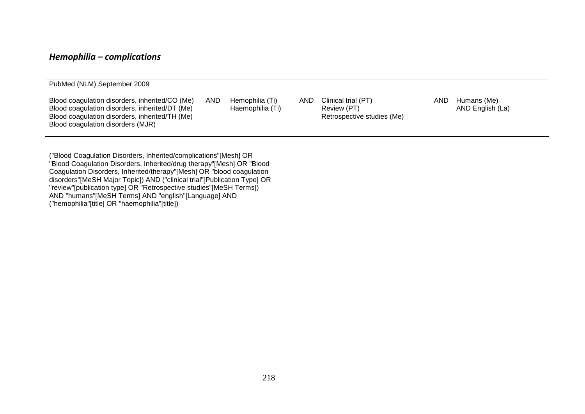### *Hemophilia – complications*

| PubMed (NLM) September 2009                                                                                                                                                             |            |                                     |     |                                                                  |     |                                 |
|-----------------------------------------------------------------------------------------------------------------------------------------------------------------------------------------|------------|-------------------------------------|-----|------------------------------------------------------------------|-----|---------------------------------|
| Blood coagulation disorders, inherited/CO (Me)<br>Blood coagulation disorders, inherited/DT (Me)<br>Blood coagulation disorders, inherited/TH (Me)<br>Blood coagulation disorders (MJR) | <b>AND</b> | Hemophilia (Ti)<br>Haemophilia (Ti) | AND | Clinical trial (PT)<br>Review (PT)<br>Retrospective studies (Me) | AND | Humans (Me)<br>AND English (La) |

("Blood Coagulation Disorders, Inherited/complications"[Mesh] OR "Blood Coagulation Disorders, Inherited/drug therapy"[Mesh] OR "Blood Coagulation Disorders, Inherited/therapy"[Mesh] OR "blood coagulation disorders"[MeSH Major Topic]) AND ("clinical trial"[Publication Type] OR "review"[publication type] OR "Retrospective studies"[MeSH Terms]) AND "humans"[MeSH Terms] AND "english"[Language] AND ("hemophilia"[title] OR "haemophilia"[title])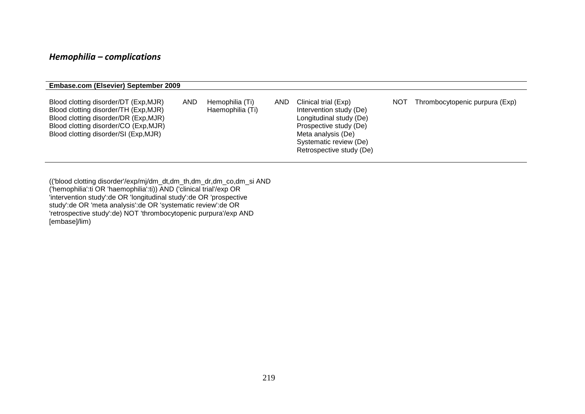## *Hemophilia – complications*

| Embase.com (Elsevier) September 2009                                                                                                                                                                      |            |                                     |      |                                                                                                                                                                                  |     |                                |
|-----------------------------------------------------------------------------------------------------------------------------------------------------------------------------------------------------------|------------|-------------------------------------|------|----------------------------------------------------------------------------------------------------------------------------------------------------------------------------------|-----|--------------------------------|
| Blood clotting disorder/DT (Exp, MJR)<br>Blood clotting disorder/TH (Exp, MJR)<br>Blood clotting disorder/DR (Exp, MJR)<br>Blood clotting disorder/CO (Exp, MJR)<br>Blood clotting disorder/SI (Exp, MJR) | <b>AND</b> | Hemophilia (Ti)<br>Haemophilia (Ti) | AND. | Clinical trial (Exp)<br>Intervention study (De)<br>Longitudinal study (De)<br>Prospective study (De)<br>Meta analysis (De)<br>Systematic review (De)<br>Retrospective study (De) | NOT | Thrombocytopenic purpura (Exp) |

(('blood clotting disorder'/exp/mj/dm\_dt,dm\_th,dm\_dr,dm\_co,dm\_si AND ('hemophilia':ti OR 'haemophilia':ti)) AND ('clinical trial'/exp OR 'intervention study':de OR 'longitudinal study':de OR 'prospective study':de OR 'meta analysis':de OR 'systematic review':de OR 'retrospective study':de) NOT 'thrombocytopenic purpura'/exp AND [embase]/lim)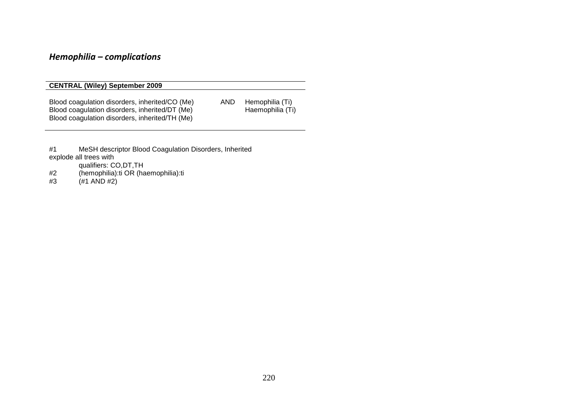## *Hemophilia – complications*

#### **CENTRAL (Wiley) September 2009**

Blood coagulation disorders, inherited/CO (Me) AND Hemophilia (Ti)<br>Blood coagulation disorders, inherited/DT (Me) Haemophilia (Ti) Blood coagulation disorders, inherited/DT (Me) Blood coagulation disorders, inherited/TH (Me)

- #1 [MeSH descriptor Blood Coagulation Disorders, Inherited](http://www3.interscience.wiley.com/cochrane/searchHistory?mode=runquery&qnum=1)  [explode all trees with](http://www3.interscience.wiley.com/cochrane/searchHistory?mode=runquery&qnum=1) 
	- [qualifiers: CO,DT,TH](http://www3.interscience.wiley.com/cochrane/searchHistory?mode=runquery&qnum=1)
- #2 [\(hemophilia\):ti OR \(haemophilia\):ti](http://www3.interscience.wiley.com/cochrane/searchHistory?mode=runquery&qnum=2)
- $#3$   $(*1$  AND  $#2)$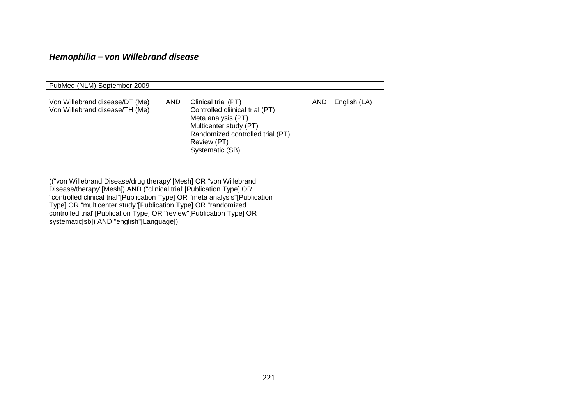### *Hemophilia – von Willebrand disease*

| PubMed (NLM) September 2009                                      |      |                                                                                                                                                                              |      |              |
|------------------------------------------------------------------|------|------------------------------------------------------------------------------------------------------------------------------------------------------------------------------|------|--------------|
| Von Willebrand disease/DT (Me)<br>Von Willebrand disease/TH (Me) | AND. | Clinical trial (PT)<br>Controlled cliinical trial (PT)<br>Meta analysis (PT)<br>Multicenter study (PT)<br>Randomized controlled trial (PT)<br>Review (PT)<br>Systematic (SB) | AND. | English (LA) |

(("von Willebrand Disease/drug therapy"[Mesh] OR "von Willebrand Disease/therapy"[Mesh]) AND ("clinical trial"[Publication Type] OR "controlled clinical trial"[Publication Type] OR "meta analysis"[Publication Type] OR "multicenter study"[Publication Type] OR "randomized controlled trial"[Publication Type] OR "review"[Publication Type] OR systematic[sb]) AND "english"[Language])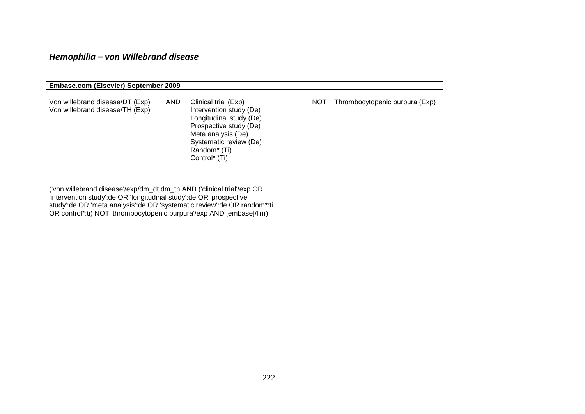## *Hemophilia – von Willebrand disease*

| <b>Embase.com (Elsevier) September 2009</b>                        |            |                                                                                                                                                                                                               |     |                                |
|--------------------------------------------------------------------|------------|---------------------------------------------------------------------------------------------------------------------------------------------------------------------------------------------------------------|-----|--------------------------------|
| Von willebrand disease/DT (Exp)<br>Von willebrand disease/TH (Exp) | <b>AND</b> | Clinical trial (Exp)<br>Intervention study (De)<br>Longitudinal study (De)<br>Prospective study (De)<br>Meta analysis (De)<br>Systematic review (De)<br>Random <sup>*</sup> (Ti)<br>Control <sup>*</sup> (Ti) | NOT | Thrombocytopenic purpura (Exp) |

('von willebrand disease'/exp/dm\_dt,dm\_th AND ('clinical trial'/exp OR 'intervention study':de OR 'longitudinal study':de OR 'prospective study':de OR 'meta analysis':de OR 'systematic review':de OR random\*:ti OR control\*:ti) NOT 'thrombocytopenic purpura'/exp AND [embase]/lim)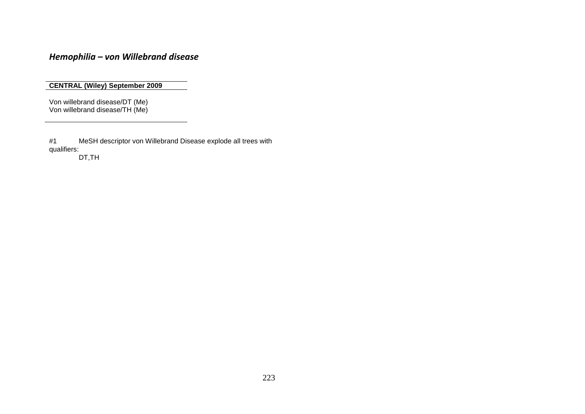*Hemophilia – von Willebrand disease*

**CENTRAL (Wiley) September 2009**

Von willebrand disease/DT (Me) Von willebrand disease/TH (Me)

#1 [MeSH descriptor von Willebrand Disease explode all trees with](http://www3.interscience.wiley.com/cochrane/searchHistory?mode=runquery&qnum=1)  [qualifiers:](http://www3.interscience.wiley.com/cochrane/searchHistory?mode=runquery&qnum=1)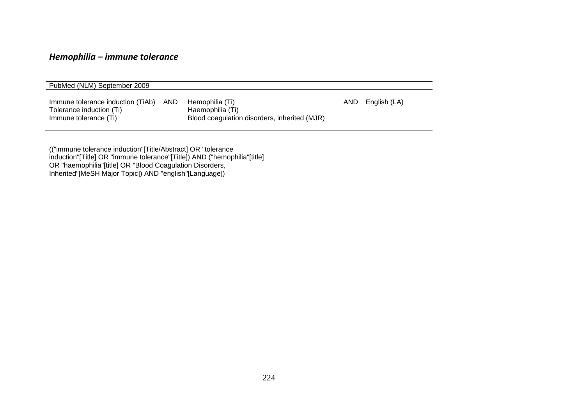## *Hemophilia – immune tolerance*

| PubMed (NLM) September 2009                                                            |            |                                                                                     |      |              |
|----------------------------------------------------------------------------------------|------------|-------------------------------------------------------------------------------------|------|--------------|
| Immune tolerance induction (TiAb)<br>Tolerance induction (Ti)<br>Immune tolerance (Ti) | <b>AND</b> | Hemophilia (Ti)<br>Haemophilia (Ti)<br>Blood coagulation disorders, inherited (MJR) | AND. | English (LA) |

(("immune tolerance induction"[Title/Abstract] OR "tolerance induction"[Title] OR "immune tolerance"[Title]) AND ("hemophilia"[title] OR "haemophilia"[title] OR "Blood Coagulation Disorders, Inherited"[MeSH Major Topic]) AND "english"[Language])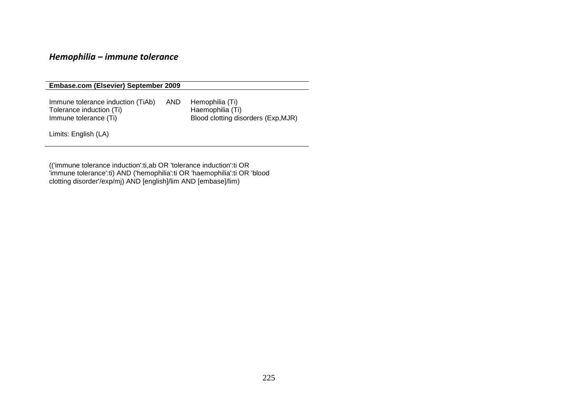### *Hemophilia – immune tolerance*

**Embase.com (Elsevier) September 2009**

Immune tolerance induction (TiAb) AND Hemophilia (Ti)<br>Tolerance induction (Ti) Haemophilia (Ti) Tolerance induction (Ti)<br>Immune tolerance (Ti) Blood clotting disorders (Exp,MJR)

Limits: English (LA)

(('immune tolerance induction':ti,ab OR 'tolerance induction':ti OR 'immune tolerance':ti) AND ('hemophilia':ti OR 'haemophilia':ti OR 'blood clotting disorder'/exp/mj) AND [english]/lim AND [embase]/lim)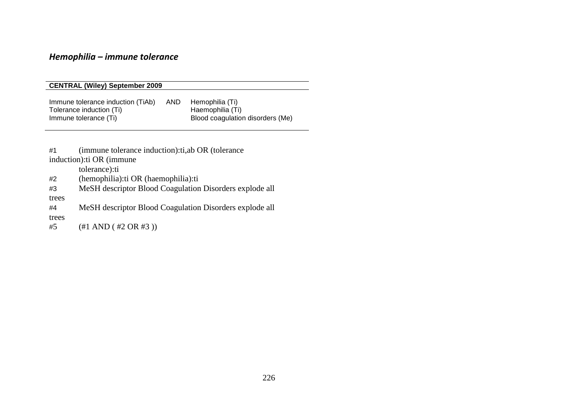# *Hemophilia – immune tolerance*

|                                                                                                                                                                           | <b>CENTRAL (Wiley) September 2009</b>                                                                                                                                                     |  |                                                                                                                    |  |  |  |  |
|---------------------------------------------------------------------------------------------------------------------------------------------------------------------------|-------------------------------------------------------------------------------------------------------------------------------------------------------------------------------------------|--|--------------------------------------------------------------------------------------------------------------------|--|--|--|--|
| AND.<br>Immune tolerance induction (TiAb)<br>Hemophilia (Ti)<br>Haemophilia (Ti)<br>Tolerance induction (Ti)<br>Blood coagulation disorders (Me)<br>Immune tolerance (Ti) |                                                                                                                                                                                           |  |                                                                                                                    |  |  |  |  |
| #1<br>#2<br>#3<br>trees<br>#4<br>trees<br>#5                                                                                                                              | (immune tolerance induction): ti, ab OR (tolerance)<br>induction): ti OR (immune)<br>tolerance):ti<br>(hemophilia): ti OR (haemophilia): ti<br>$(\#1 \text{ AND } (\#2 \text{ OR } \#3))$ |  | MeSH descriptor Blood Coagulation Disorders explode all<br>MeSH descriptor Blood Coagulation Disorders explode all |  |  |  |  |